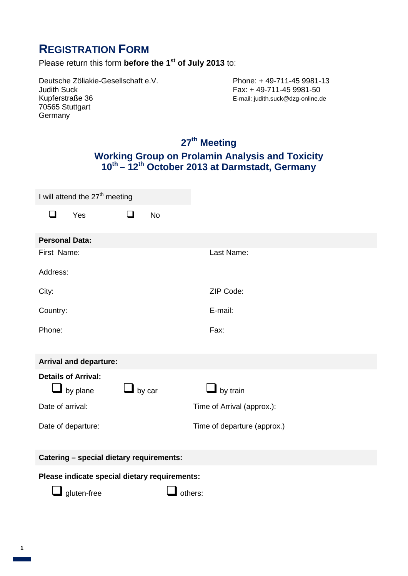## **REGISTRATION FORM**

Please return this form **before the 1st of July 2013** to:

Deutsche Zöliakie-Gesellschaft e.V.<br>
Judith Suck<br>
Phone: + 49-711-45 9981-50<br>
Fax: + 49-711-45 9981-50 Judith Suck<br>Kupferstraße 36 **Fax: +49-711-45 9981-50**<br>E-mail: judith.suck@dzg-online.c 70565 Stuttgart **Germany** 

E-mail: judith.suck@dzg-online.de

### **27th Meeting Working Group on Prolamin Analysis and Toxicity 10th – 12th October 2013 at Darmstadt, Germany**

| I will attend the 27 <sup>th</sup> meeting    |                                        |               |           |                             |
|-----------------------------------------------|----------------------------------------|---------------|-----------|-----------------------------|
| $\Box$                                        | Yes                                    | $\Box$        | <b>No</b> |                             |
| <b>Personal Data:</b>                         |                                        |               |           |                             |
| First Name:                                   |                                        |               |           | Last Name:                  |
| Address:                                      |                                        |               |           |                             |
| City:                                         |                                        |               |           | ZIP Code:                   |
| Country:                                      |                                        |               |           | E-mail:                     |
| Phone:                                        |                                        |               |           | Fax:                        |
|                                               |                                        |               |           |                             |
| <b>Arrival and departure:</b>                 |                                        |               |           |                             |
|                                               | <b>Details of Arrival:</b><br>by plane | $\Box$ by car |           | $\blacksquare$ by train     |
| Date of arrival:                              |                                        |               |           | Time of Arrival (approx.):  |
| Date of departure:                            |                                        |               |           | Time of departure (approx.) |
| Catering - special dietary requirements:      |                                        |               |           |                             |
| Please indicate special dietary requirements: |                                        |               |           |                             |
| gluten-free<br>others:                        |                                        |               |           |                             |